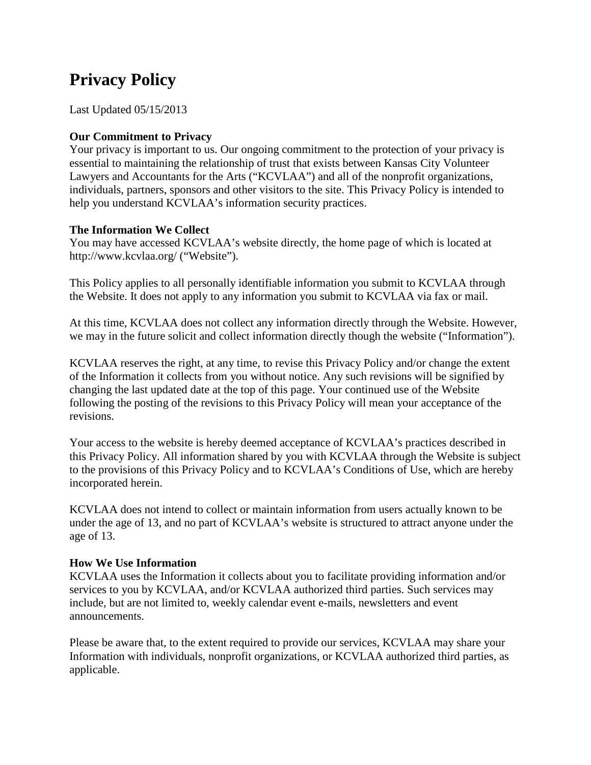# **Privacy Policy**

Last Updated 05/15/2013

## **Our Commitment to Privacy**

Your privacy is important to us. Our ongoing commitment to the protection of your privacy is essential to maintaining the relationship of trust that exists between Kansas City Volunteer Lawyers and Accountants for the Arts ("KCVLAA") and all of the nonprofit organizations, individuals, partners, sponsors and other visitors to the site. This Privacy Policy is intended to help you understand KCVLAA's information security practices.

### **The Information We Collect**

You may have accessed KCVLAA's website directly, the home page of which is located at http://www.kcvlaa.org/ ("Website").

This Policy applies to all personally identifiable information you submit to KCVLAA through the Website. It does not apply to any information you submit to KCVLAA via fax or mail.

At this time, KCVLAA does not collect any information directly through the Website. However, we may in the future solicit and collect information directly though the website ("Information").

KCVLAA reserves the right, at any time, to revise this Privacy Policy and/or change the extent of the Information it collects from you without notice. Any such revisions will be signified by changing the last updated date at the top of this page. Your continued use of the Website following the posting of the revisions to this Privacy Policy will mean your acceptance of the revisions.

Your access to the website is hereby deemed acceptance of KCVLAA's practices described in this Privacy Policy. All information shared by you with KCVLAA through the Website is subject to the provisions of this Privacy Policy and to KCVLAA's Conditions of Use, which are hereby incorporated herein.

KCVLAA does not intend to collect or maintain information from users actually known to be under the age of 13, and no part of KCVLAA's website is structured to attract anyone under the age of 13.

# **How We Use Information**

KCVLAA uses the Information it collects about you to facilitate providing information and/or services to you by KCVLAA, and/or KCVLAA authorized third parties. Such services may include, but are not limited to, weekly calendar event e-mails, newsletters and event announcements.

Please be aware that, to the extent required to provide our services, KCVLAA may share your Information with individuals, nonprofit organizations, or KCVLAA authorized third parties, as applicable.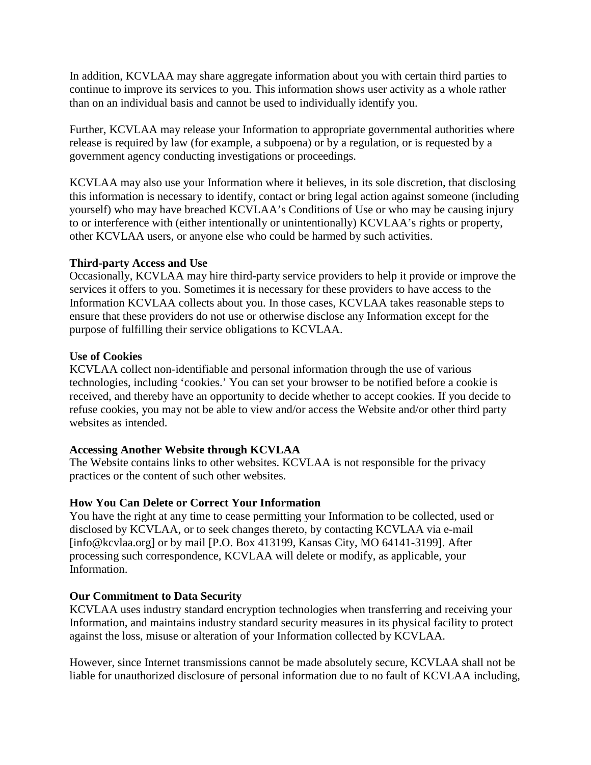In addition, KCVLAA may share aggregate information about you with certain third parties to continue to improve its services to you. This information shows user activity as a whole rather than on an individual basis and cannot be used to individually identify you.

Further, KCVLAA may release your Information to appropriate governmental authorities where release is required by law (for example, a subpoena) or by a regulation, or is requested by a government agency conducting investigations or proceedings.

KCVLAA may also use your Information where it believes, in its sole discretion, that disclosing this information is necessary to identify, contact or bring legal action against someone (including yourself) who may have breached KCVLAA's Conditions of Use or who may be causing injury to or interference with (either intentionally or unintentionally) KCVLAA's rights or property, other KCVLAA users, or anyone else who could be harmed by such activities.

### **Third-party Access and Use**

Occasionally, KCVLAA may hire third-party service providers to help it provide or improve the services it offers to you. Sometimes it is necessary for these providers to have access to the Information KCVLAA collects about you. In those cases, KCVLAA takes reasonable steps to ensure that these providers do not use or otherwise disclose any Information except for the purpose of fulfilling their service obligations to KCVLAA.

### **Use of Cookies**

KCVLAA collect non-identifiable and personal information through the use of various technologies, including 'cookies.' You can set your browser to be notified before a cookie is received, and thereby have an opportunity to decide whether to accept cookies. If you decide to refuse cookies, you may not be able to view and/or access the Website and/or other third party websites as intended.

# **Accessing Another Website through KCVLAA**

The Website contains links to other websites. KCVLAA is not responsible for the privacy practices or the content of such other websites.

# **How You Can Delete or Correct Your Information**

You have the right at any time to cease permitting your Information to be collected, used or disclosed by KCVLAA, or to seek changes thereto, by contacting KCVLAA via e-mail [info@kcvlaa.org] or by mail [P.O. Box 413199, Kansas City, MO 64141-3199]. After processing such correspondence, KCVLAA will delete or modify, as applicable, your Information.

#### **Our Commitment to Data Security**

KCVLAA uses industry standard encryption technologies when transferring and receiving your Information, and maintains industry standard security measures in its physical facility to protect against the loss, misuse or alteration of your Information collected by KCVLAA.

However, since Internet transmissions cannot be made absolutely secure, KCVLAA shall not be liable for unauthorized disclosure of personal information due to no fault of KCVLAA including,